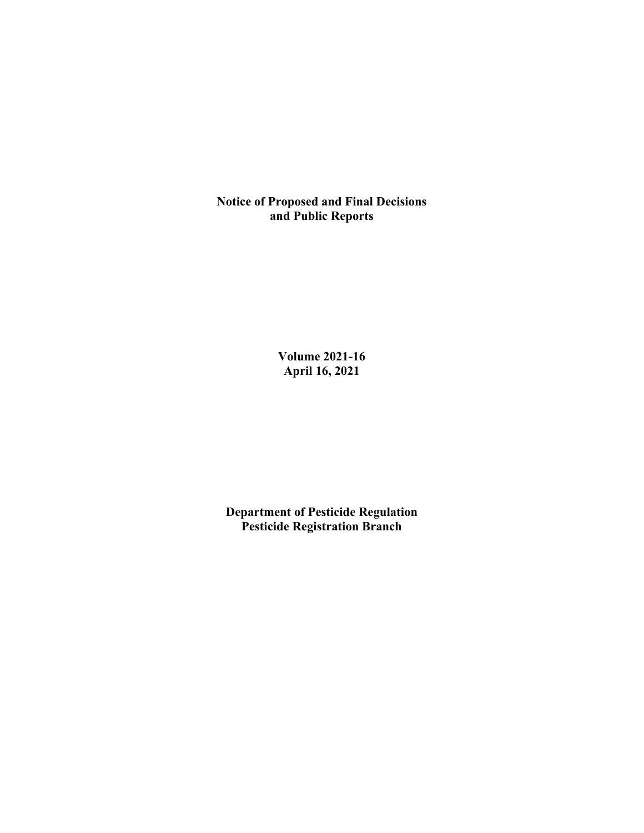**Notice of Proposed and Final Decisions and Public Reports**

> **Volume 2021-16 April 16, 2021**

**Department of Pesticide Regulation Pesticide Registration Branch**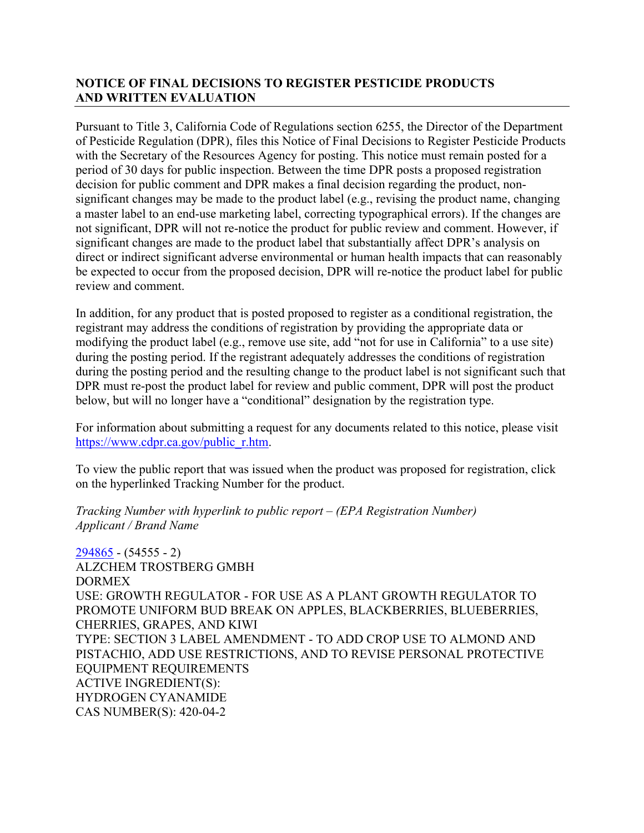# **NOTICE OF FINAL DECISIONS TO REGISTER PESTICIDE PRODUCTS AND WRITTEN EVALUATION**

Pursuant to Title 3, California Code of Regulations section 6255, the Director of the Department of Pesticide Regulation (DPR), files this Notice of Final Decisions to Register Pesticide Products with the Secretary of the Resources Agency for posting. This notice must remain posted for a period of 30 days for public inspection. Between the time DPR posts a proposed registration decision for public comment and DPR makes a final decision regarding the product, nonsignificant changes may be made to the product label (e.g., revising the product name, changing a master label to an end-use marketing label, correcting typographical errors). If the changes are not significant, DPR will not re-notice the product for public review and comment. However, if significant changes are made to the product label that substantially affect DPR's analysis on direct or indirect significant adverse environmental or human health impacts that can reasonably be expected to occur from the proposed decision, DPR will re-notice the product label for public review and comment.

In addition, for any product that is posted proposed to register as a conditional registration, the registrant may address the conditions of registration by providing the appropriate data or modifying the product label (e.g., remove use site, add "not for use in California" to a use site) during the posting period. If the registrant adequately addresses the conditions of registration during the posting period and the resulting change to the product label is not significant such that DPR must re-post the product label for review and public comment, DPR will post the product below, but will no longer have a "conditional" designation by the registration type.

For information about submitting a request for any documents related to this notice, please visit [https://www.cdpr.ca.gov/public\\_r.htm.](https://www.cdpr.ca.gov/public_r.htm)

To view the public report that was issued when the product was proposed for registration, click on the hyperlinked Tracking Number for the product.

*Tracking Number with hyperlink to public report – (EPA Registration Number) Applicant / Brand Name*

[294865](https://www.cdpr.ca.gov/docs/registration/nod/public_reports/294865.pdf) - (54555 - 2) ALZCHEM TROSTBERG GMBH **DORMEX** USE: GROWTH REGULATOR - FOR USE AS A PLANT GROWTH REGULATOR TO PROMOTE UNIFORM BUD BREAK ON APPLES, BLACKBERRIES, BLUEBERRIES, CHERRIES, GRAPES, AND KIWI TYPE: SECTION 3 LABEL AMENDMENT - TO ADD CROP USE TO ALMOND AND PISTACHIO, ADD USE RESTRICTIONS, AND TO REVISE PERSONAL PROTECTIVE EQUIPMENT REQUIREMENTS ACTIVE INGREDIENT(S): HYDROGEN CYANAMIDE CAS NUMBER(S): 420-04-2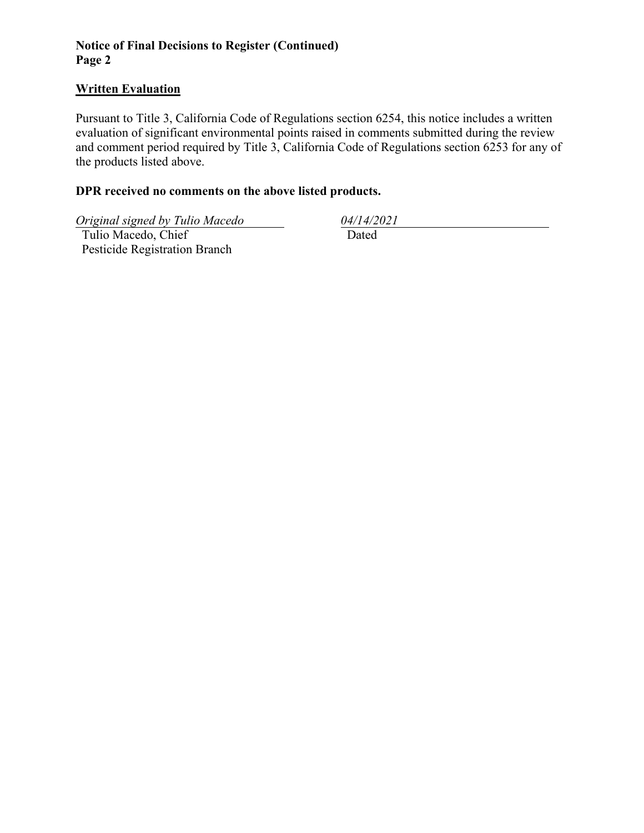# **Notice of Final Decisions to Register (Continued) Page 2**

## **Written Evaluation**

Pursuant to Title 3, California Code of Regulations section 6254, this notice includes a written evaluation of significant environmental points raised in comments submitted during the review and comment period required by Title 3, California Code of Regulations section 6253 for any of the products listed above.

# **DPR received no comments on the above listed products.**

*Original signed by Tulio Macedo 04/14/2021*

 Tulio Macedo, Chief Pesticide Registration Branch

Dated